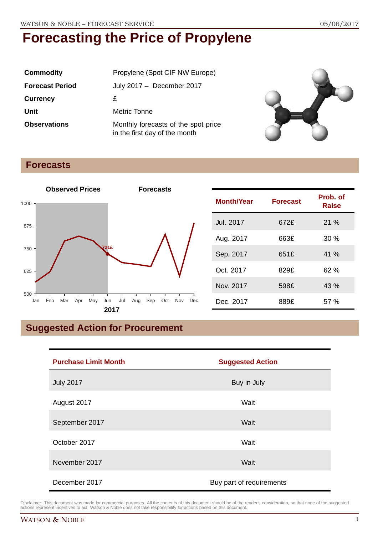| <b>Commodity</b>       | Propylene (Spot CIF NW Europe)                                       |
|------------------------|----------------------------------------------------------------------|
| <b>Forecast Period</b> | July 2017 - December 2017                                            |
| <b>Currency</b>        | £                                                                    |
| Unit                   | Metric Tonne                                                         |
| <b>Observations</b>    | Monthly forecasts of the spot price<br>in the first day of the month |



### **Forecasts**



| <b>Month/Year</b> | <b>Forecast</b> | Prob. of<br><b>Raise</b> |
|-------------------|-----------------|--------------------------|
| <b>Jul. 2017</b>  | 672£            | 21%                      |
| Aug. 2017         | 663£            | 30%                      |
| Sep. 2017         | 651£            | 41%                      |
| Oct. 2017         | 829£            | 62 %                     |
| Nov. 2017         | 598£            | 43 %                     |
| Dec. 2017         | 889£            | 57 %                     |

# **Suggested Action for Procurement**

| <b>Purchase Limit Month</b> | <b>Suggested Action</b>  |  |
|-----------------------------|--------------------------|--|
| <b>July 2017</b>            | Buy in July              |  |
| August 2017                 | Wait                     |  |
| September 2017              | Wait                     |  |
| October 2017                | Wait                     |  |
| November 2017               | Wait                     |  |
| December 2017               | Buy part of requirements |  |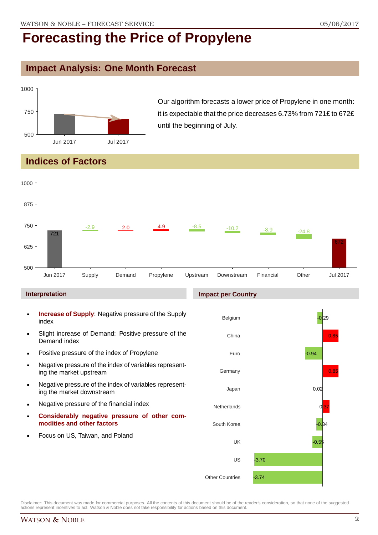## **Impact Analysis: One Month Forecast**



Our algorithm forecasts a lower price of Propylene in one month: it is expectable that the price decreases 6.73% from 721£ to 672£ until the beginning of July.

# **Indices of Factors**



- **Increase of Supply**: Negative pressure of the Supply index
- Slight increase of Demand: Positive pressure of the Demand index
- **Positive pressure of the index of Propylene**
- Negative pressure of the index of variables representing the market upstream
- Negative pressure of the index of variables representing the market downstream
- **Negative pressure of the financial index**
- **Considerably negative pressure of other commodities and other factors**
- Focus on US, Taiwan, and Poland

#### **Impact per Country**

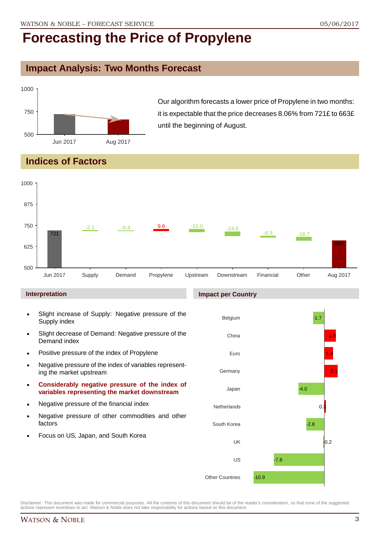## **Impact Analysis: Two Months Forecast**



Our algorithm forecasts a lower price of Propylene in two months: it is expectable that the price decreases 8.06% from 721£ to 663£ until the beginning of August.

# **Indices of Factors**



#### **Interpretation**

- Slight increase of Supply: Negative pressure of the Supply index
- Slight decrease of Demand: Negative pressure of the Demand index
- **Positive pressure of the index of Propylene**
- Negative pressure of the index of variables representing the market upstream
- **Considerably negative pressure of the index of variables representing the market downstream**
- **Negative pressure of the financial index**
- **Negative pressure of other commodities and other** factors
- Focus on US, Japan, and South Korea

#### **Impact per Country**

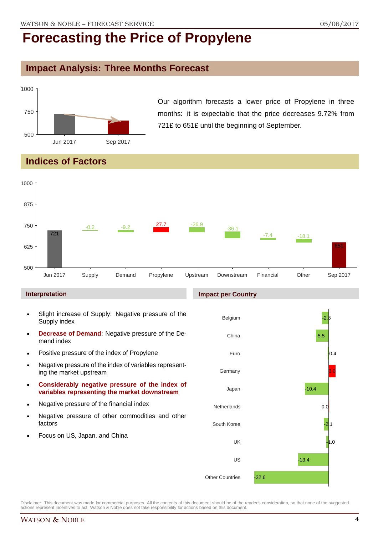### **Impact Analysis: Three Months Forecast**



Our algorithm forecasts a lower price of Propylene in three months: it is expectable that the price decreases 9.72% from 721£ to 651£ until the beginning of September.

## **Indices of Factors**



#### **Interpretation**

- Slight increase of Supply: Negative pressure of the Supply index
- **Decrease of Demand**: Negative pressure of the Demand index
- **Positive pressure of the index of Propylene**
- Negative pressure of the index of variables representing the market upstream
- **Considerably negative pressure of the index of variables representing the market downstream**
- **Negative pressure of the financial index**
- **Negative pressure of other commodities and other** factors
- Focus on US, Japan, and China

#### **Impact per Country**

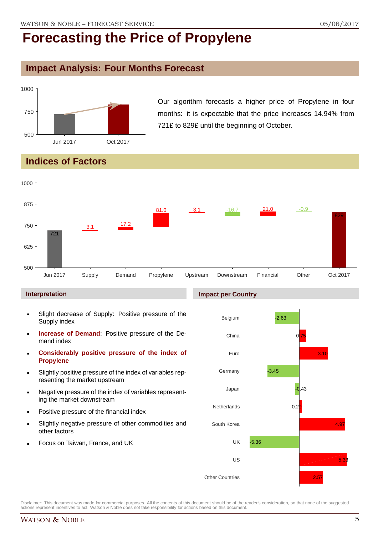## **Impact Analysis: Four Months Forecast**



Our algorithm forecasts a higher price of Propylene in four months: it is expectable that the price increases 14.94% from 721£ to 829£ until the beginning of October.

# **Indices of Factors**



#### **Interpretation**

- Slight decrease of Supply: Positive pressure of the Supply index
- **Increase of Demand**: Positive pressure of the Demand index
- **Considerably positive pressure of the index of Propylene**
- Slightly positive pressure of the index of variables representing the market upstream
- Negative pressure of the index of variables representing the market downstream
- Positive pressure of the financial index
- Slightly negative pressure of other commodities and other factors
- Focus on Taiwan, France, and UK

#### **Impact per Country**



Disclaimer: This document was made for commercial purposes. All the contents of this document should be of the reader's consideration, so that none of the suggested actions represent incentives to act. Watson & Noble does not take responsibility for actions based on this document.

### WATSON & NOBLE 5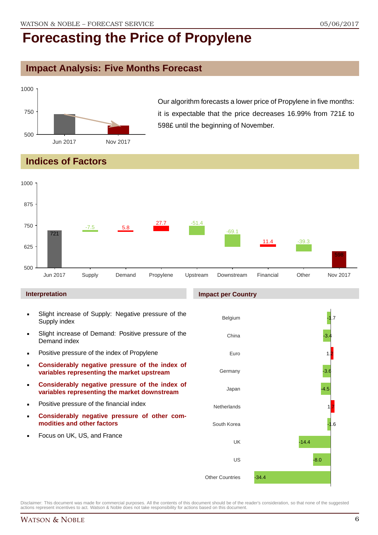## **Impact Analysis: Five Months Forecast**



Our algorithm forecasts a lower price of Propylene in five months: it is expectable that the price decreases 16.99% from 721£ to 598£ until the beginning of November.

## **Indices of Factors**



#### **Interpretation**

- Slight increase of Supply: Negative pressure of the Supply index
- Slight increase of Demand: Positive pressure of the Demand index
- **Positive pressure of the index of Propylene**
- **Considerably negative pressure of the index of variables representing the market upstream**
- **Considerably negative pressure of the index of variables representing the market downstream**
- **•** Positive pressure of the financial index
- **Considerably negative pressure of other commodities and other factors**
- Focus on UK, US, and France

#### **Impact per Country**

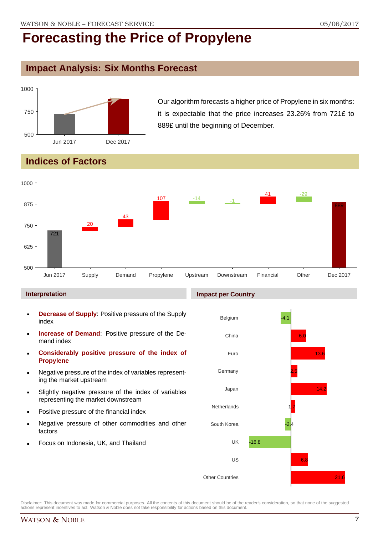## **Impact Analysis: Six Months Forecast**



Our algorithm forecasts a higher price of Propylene in six months: it is expectable that the price increases 23.26% from 721£ to 889£ until the beginning of December.

# **Indices of Factors**



#### **Interpretation**

- **Decrease of Supply**: Positive pressure of the Supply index
- **Increase of Demand**: Positive pressure of the Demand index
- **Considerably positive pressure of the index of Propylene**
- Negative pressure of the index of variables representing the market upstream
- Slightly negative pressure of the index of variables representing the market downstream
- Positive pressure of the financial index
- Negative pressure of other commodities and other factors
- Focus on Indonesia, UK, and Thailand

#### **Impact per Country**

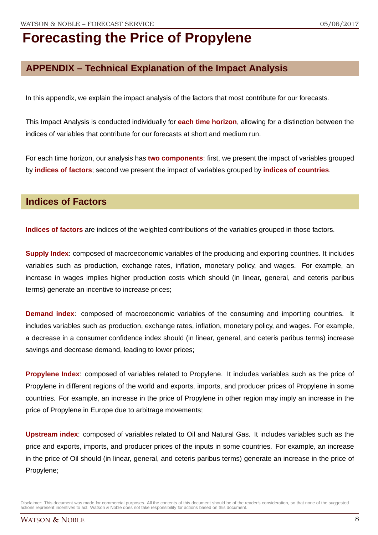## **APPENDIX – Technical Explanation of the Impact Analysis**

In this appendix, we explain the impact analysis of the factors that most contribute for our forecasts.

This Impact Analysis is conducted individually for **each time horizon**, allowing for a distinction between the indices of variables that contribute for our forecasts at short and medium run.

For each time horizon, our analysis has **two components**: first, we present the impact of variables grouped by **indices of factors**; second we present the impact of variables grouped by **indices of countries**.

### **Indices of Factors**

**Indices of factors** are indices of the weighted contributions of the variables grouped in those factors.

**Supply Index:** composed of macroeconomic variables of the producing and exporting countries. It includes variables such as production, exchange rates, inflation, monetary policy, and wages. For example, an increase in wages implies higher production costs which should (in linear, general, and ceteris paribus terms) generate an incentive to increase prices;

**Demand index**: composed of macroeconomic variables of the consuming and importing countries. It includes variables such as production, exchange rates, inflation, monetary policy, and wages. For example, a decrease in a consumer confidence index should (in linear, general, and ceteris paribus terms) increase savings and decrease demand, leading to lower prices;

**Propylene Index**: composed of variables related to Propylene. It includes variables such as the price of Propylene in different regions of the world and exports, imports, and producer prices of Propylene in some countries. For example, an increase in the price of Propylene in other region may imply an increase in the price of Propylene in Europe due to arbitrage movements;

**Upstream index**: composed of variables related to Oil and Natural Gas. It includes variables such as the price and exports, imports, and producer prices of the inputs in some countries. For example, an increase in the price of Oil should (in linear, general, and ceteris paribus terms) generate an increase in the price of Propylene;